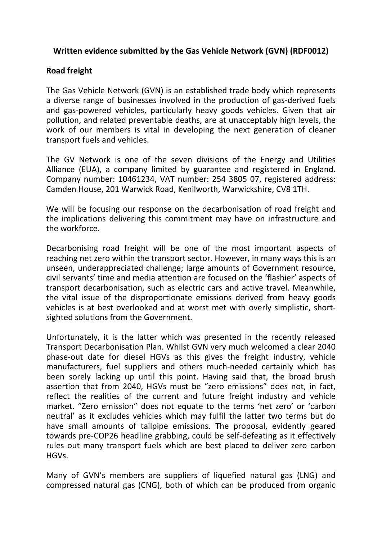## **Written evidence submitted by the Gas Vehicle Network (GVN) (RDF0012)**

## **Road freight**

The Gas Vehicle Network (GVN) is an established trade body which represents a diverse range of businesses involved in the production of gas-derived fuels and gas-powered vehicles, particularly heavy goods vehicles. Given that air pollution, and related preventable deaths, are at unacceptably high levels, the work of our members is vital in developing the next generation of cleaner transport fuels and vehicles.

The GV Network is one of the seven divisions of the Energy and Utilities Alliance (EUA), a company limited by guarantee and registered in England. Company number: 10461234, VAT number: 254 3805 07, registered address: Camden House, 201 Warwick Road, Kenilworth, Warwickshire, CV8 1TH.

We will be focusing our response on the decarbonisation of road freight and the implications delivering this commitment may have on infrastructure and the workforce.

Decarbonising road freight will be one of the most important aspects of reaching net zero within the transport sector. However, in many ways this is an unseen, underappreciated challenge; large amounts of Government resource, civil servants' time and media attention are focused on the 'flashier' aspects of transport decarbonisation, such as electric cars and active travel. Meanwhile, the vital issue of the disproportionate emissions derived from heavy goods vehicles is at best overlooked and at worst met with overly simplistic, shortsighted solutions from the Government.

Unfortunately, it is the latter which was presented in the recently released Transport Decarbonisation Plan. Whilst GVN very much welcomed a clear 2040 phase-out date for diesel HGVs as this gives the freight industry, vehicle manufacturers, fuel suppliers and others much-needed certainly which has been sorely lacking up until this point. Having said that, the broad brush assertion that from 2040, HGVs must be "zero emissions" does not, in fact, reflect the realities of the current and future freight industry and vehicle market. "Zero emission" does not equate to the terms 'net zero' or 'carbon neutral' as it excludes vehicles which may fulfil the latter two terms but do have small amounts of tailpipe emissions. The proposal, evidently geared towards pre-COP26 headline grabbing, could be self-defeating as it effectively rules out many transport fuels which are best placed to deliver zero carbon HGVs.

Many of GVN's members are suppliers of liquefied natural gas (LNG) and compressed natural gas (CNG), both of which can be produced from organic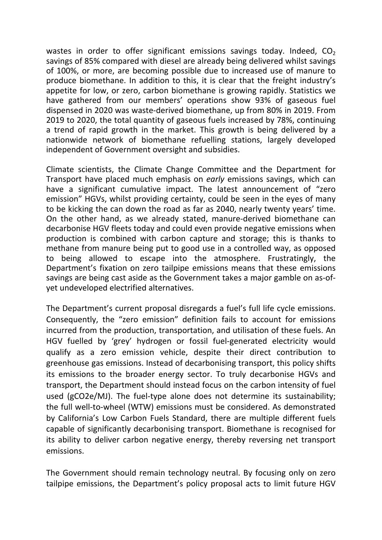wastes in order to offer significant emissions savings today. Indeed,  $CO<sub>2</sub>$ savings of 85% compared with diesel are already being delivered whilst savings of 100%, or more, are becoming possible due to increased use of manure to produce biomethane. In addition to this, it is clear that the freight industry's appetite for low, or zero, carbon biomethane is growing rapidly. Statistics we have gathered from our members' operations show 93% of gaseous fuel dispensed in 2020 was waste-derived biomethane, up from 80% in 2019. From 2019 to 2020, the total quantity of gaseous fuels increased by 78%, continuing a trend of rapid growth in the market. This growth is being delivered by a nationwide network of biomethane refuelling stations, largely developed independent of Government oversight and subsidies.

Climate scientists, the Climate Change Committee and the Department for Transport have placed much emphasis on *early* emissions savings, which can have a significant cumulative impact. The latest announcement of "zero emission" HGVs, whilst providing certainty, could be seen in the eyes of many to be kicking the can down the road as far as 2040, nearly twenty years' time. On the other hand, as we already stated, manure-derived biomethane can decarbonise HGV fleets today and could even provide negative emissions when production is combined with carbon capture and storage; this is thanks to methane from manure being put to good use in a controlled way, as opposed to being allowed to escape into the atmosphere. Frustratingly, the Department's fixation on zero tailpipe emissions means that these emissions savings are being cast aside as the Government takes a major gamble on as-ofyet undeveloped electrified alternatives.

The Department's current proposal disregards a fuel's full life cycle emissions. Consequently, the "zero emission" definition fails to account for emissions incurred from the production, transportation, and utilisation of these fuels. An HGV fuelled by 'grey' hydrogen or fossil fuel-generated electricity would qualify as a zero emission vehicle, despite their direct contribution to greenhouse gas emissions. Instead of decarbonising transport, this policy shifts its emissions to the broader energy sector. To truly decarbonise HGVs and transport, the Department should instead focus on the carbon intensity of fuel used (gCO2e/MJ). The fuel-type alone does not determine its sustainability; the full well-to-wheel (WTW) emissions must be considered. As demonstrated by California's Low Carbon Fuels Standard, there are multiple different fuels capable of significantly decarbonising transport. Biomethane is recognised for its ability to deliver carbon negative energy, thereby reversing net transport emissions.

The Government should remain technology neutral. By focusing only on zero tailpipe emissions, the Department's policy proposal acts to limit future HGV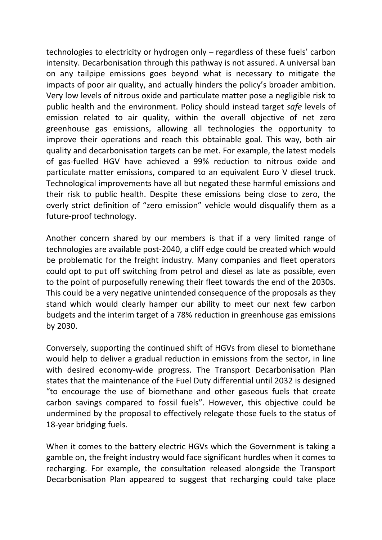technologies to electricity or hydrogen only – regardless of these fuels' carbon intensity. Decarbonisation through this pathway is not assured. A universal ban on any tailpipe emissions goes beyond what is necessary to mitigate the impacts of poor air quality, and actually hinders the policy's broader ambition. Very low levels of nitrous oxide and particulate matter pose a negligible risk to public health and the environment. Policy should instead target *safe* levels of emission related to air quality, within the overall objective of net zero greenhouse gas emissions, allowing all technologies the opportunity to improve their operations and reach this obtainable goal. This way, both air quality and decarbonisation targets can be met. For example, the latest models of gas-fuelled HGV have achieved a 99% reduction to nitrous oxide and particulate matter emissions, compared to an equivalent Euro V diesel truck. Technological improvements have all but negated these harmful emissions and their risk to public health. Despite these emissions being close to zero, the overly strict definition of "zero emission" vehicle would disqualify them as a future-proof technology.

Another concern shared by our members is that if a very limited range of technologies are available post-2040, a cliff edge could be created which would be problematic for the freight industry. Many companies and fleet operators could opt to put off switching from petrol and diesel as late as possible, even to the point of purposefully renewing their fleet towards the end of the 2030s. This could be a very negative unintended consequence of the proposals as they stand which would clearly hamper our ability to meet our next few carbon budgets and the interim target of a 78% reduction in greenhouse gas emissions by 2030.

Conversely, supporting the continued shift of HGVs from diesel to biomethane would help to deliver a gradual reduction in emissions from the sector, in line with desired economy-wide progress. The Transport Decarbonisation Plan states that the maintenance of the Fuel Duty differential until 2032 is designed "to encourage the use of biomethane and other gaseous fuels that create carbon savings compared to fossil fuels". However, this objective could be undermined by the proposal to effectively relegate those fuels to the status of 18-year bridging fuels.

When it comes to the battery electric HGVs which the Government is taking a gamble on, the freight industry would face significant hurdles when it comes to recharging. For example, the consultation released alongside the Transport Decarbonisation Plan appeared to suggest that recharging could take place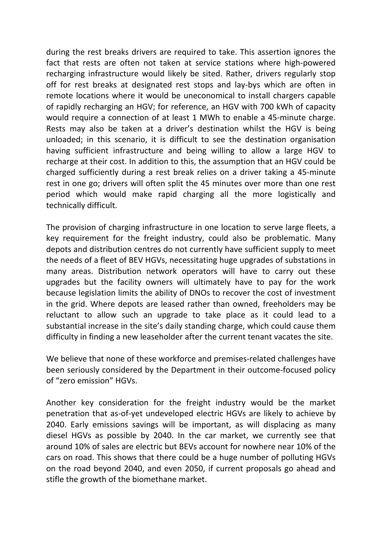during the rest breaks drivers are required to take. This assertion ignores the fact that rests are often not taken at service stations where high-powered recharging infrastructure would likely be sited. Rather, drivers regularly stop off for rest breaks at designated rest stops and lay-bys which are often in remote locations where it would be uneconomical to install chargers capable of rapidly recharging an HGV; for reference, an HGV with 700 kWh of capacity would require a connection of at least 1 MWh to enable a 45-minute charge. Rests may also be taken at a driver's destination whilst the HGV is being unloaded; in this scenario, it is difficult to see the destination organisation having sufficient infrastructure and being willing to allow a large HGV to recharge at their cost. In addition to this, the assumption that an HGV could be charged sufficiently during a rest break relies on a driver taking a 45-minute rest in one go; drivers will often split the 45 minutes over more than one rest period which would make rapid charging all the more logistically and technically difficult.

The provision of charging infrastructure in one location to serve large fleets, a key requirement for the freight industry, could also be problematic. Many depots and distribution centres do not currently have sufficient supply to meet the needs of a fleet of BEV HGVs, necessitating huge upgrades of substations in many areas. Distribution network operators will have to carry out these upgrades but the facility owners will ultimately have to pay for the work because legislation limits the ability of DNOs to recover the cost of investment in the grid. Where depots are leased rather than owned, freeholders may be reluctant to allow such an upgrade to take place as it could lead to a substantial increase in the site's daily standing charge, which could cause them difficulty in finding a new leaseholder after the current tenant vacates the site.

We believe that none of these workforce and premises-related challenges have been seriously considered by the Department in their outcome-focused policy of "zero emission" HGVs.

Another key consideration for the freight industry would be the market penetration that as-of-yet undeveloped electric HGVs are likely to achieve by 2040. Early emissions savings will be important, as will displacing as many diesel HGVs as possible by 2040. In the car market, we currently see that around 10% of sales are electric but BEVs account for nowhere near 10% of the cars on road. This shows that there could be a huge number of polluting HGVs on the road beyond 2040, and even 2050, if current proposals go ahead and stifle the growth of the biomethane market.